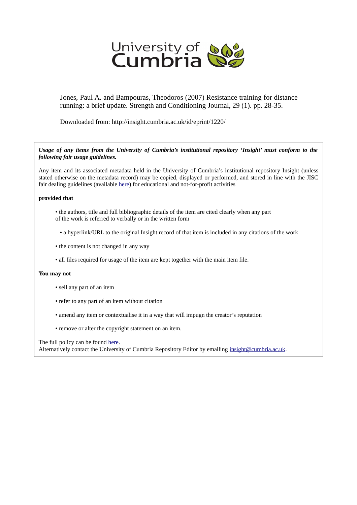

Jones, Paul A. and Bampouras, Theodoros (2007) Resistance training for distance running: a brief update. Strength and Conditioning Journal, 29 (1). pp. 28-35.

Downloaded from: http://insight.cumbria.ac.uk/id/eprint/1220/

*Usage of any items from the University of Cumbria's institutional repository 'Insight' must conform to the following fair usage guidelines.*

Any item and its associated metadata held in the University of Cumbria's institutional repository Insight (unless stated otherwise on the metadata record) may be copied, displayed or performed, and stored in line with the JISC fair dealing guidelines (available [here\)](http://www.ukoln.ac.uk/services/elib/papers/pa/fair/) for educational and not-for-profit activities

### **provided that**

- the authors, title and full bibliographic details of the item are cited clearly when any part of the work is referred to verbally or in the written form
	- a hyperlink/URL to the original Insight record of that item is included in any citations of the work
- the content is not changed in any way
- all files required for usage of the item are kept together with the main item file.

### **You may not**

- sell any part of an item
- refer to any part of an item without citation
- amend any item or contextualise it in a way that will impugn the creator's reputation
- remove or alter the copyright statement on an item.

The full policy can be found [here.](http://insight.cumbria.ac.uk/legal.html#section5)

Alternatively contact the University of Cumbria Repository Editor by emailing [insight@cumbria.ac.uk.](mailto:insight@cumbria.ac.uk)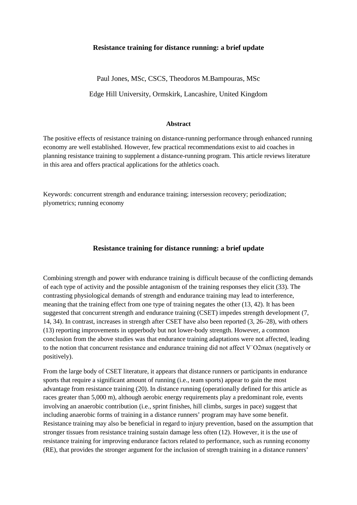# **Resistance training for distance running: a brief update**

Paul Jones, MSc, CSCS, Theodoros M.Bampouras, MSc

Edge Hill University, Ormskirk, Lancashire, United Kingdom

#### **Abstract**

The positive effects of resistance training on distance-running performance through enhanced running economy are well established. However, few practical recommendations exist to aid coaches in planning resistance training to supplement a distance-running program. This article reviews literature in this area and offers practical applications for the athletics coach.

Keywords: concurrent strength and endurance training; intersession recovery; periodization; plyometrics; running economy

# **Resistance training for distance running: a brief update**

Combining strength and power with endurance training is difficult because of the conflicting demands of each type of activity and the possible antagonism of the training responses they elicit (33). The contrasting physiological demands of strength and endurance training may lead to interference, meaning that the training effect from one type of training negates the other (13, 42). It has been suggested that concurrent strength and endurance training (CSET) impedes strength development (7, 14, 34). In contrast, increases in strength after CSET have also been reported (3, 26–28), with others (13) reporting improvements in upperbody but not lower-body strength. However, a common conclusion from the above studies was that endurance training adaptations were not affected, leading to the notion that concurrent resistance and endurance training did not affect V˙O2max (negatively or positively).

From the large body of CSET literature, it appears that distance runners or participants in endurance sports that require a significant amount of running (i.e., team sports) appear to gain the most advantage from resistance training (20). In distance running (operationally defined for this article as races greater than 5,000 m), although aerobic energy requirements play a predominant role, events involving an anaerobic contribution (i.e., sprint finishes, hill climbs, surges in pace) suggest that including anaerobic forms of training in a distance runners' program may have some benefit. Resistance training may also be beneficial in regard to injury prevention, based on the assumption that stronger tissues from resistance training sustain damage less often (12). However, it is the use of resistance training for improving endurance factors related to performance, such as running economy (RE), that provides the stronger argument for the inclusion of strength training in a distance runners'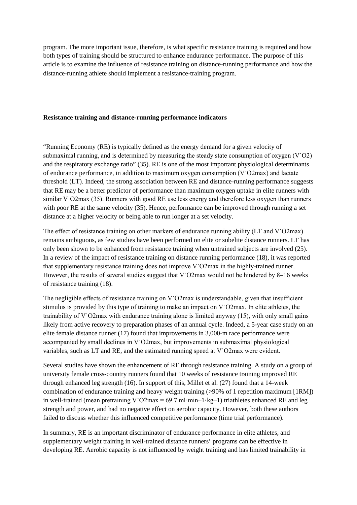program. The more important issue, therefore, is what specific resistance training is required and how both types of training should be structured to enhance endurance performance. The purpose of this article is to examine the influence of resistance training on distance-running performance and how the distance-running athlete should implement a resistance-training program.

### **Resistance training and distance-running performance indicators**

"Running Economy (RE) is typically defined as the energy demand for a given velocity of submaximal running, and is determined by measuring the steady state consumption of oxygen (V˙O2) and the respiratory exchange ratio" (35). RE is one of the most important physiological determinants of endurance performance, in addition to maximum oxygen consumption (V˙O2max) and lactate threshold (LT). Indeed, the strong association between RE and distance-running performance suggests that RE may be a better predictor of performance than maximum oxygen uptake in elite runners with similar V<sup>o</sup>O2max (35). Runners with good RE use less energy and therefore less oxygen than runners with poor RE at the same velocity (35). Hence, performance can be improved through running a set distance at a higher velocity or being able to run longer at a set velocity.

The effect of resistance training on other markers of endurance running ability (LT and V<sup>o</sup>O2max) remains ambiguous, as few studies have been performed on elite or subelite distance runners. LT has only been shown to be enhanced from resistance training when untrained subjects are involved (25). In a review of the impact of resistance training on distance running performance (18), it was reported that supplementary resistance training does not improve V˙O2max in the highly-trained runner. However, the results of several studies suggest that V˙O2max would not be hindered by 8–16 weeks of resistance training (18).

The negligible effects of resistance training on V˙O2max is understandable, given that insufficient stimulus is provided by this type of training to make an impact on V˙O2max. In elite athletes, the trainability of V˙O2max with endurance training alone is limited anyway (15), with only small gains likely from active recovery to preparation phases of an annual cycle. Indeed, a 5-year case study on an elite female distance runner (17) found that improvements in 3,000-m race performance were accompanied by small declines in V˙O2max, but improvements in submaximal physiological variables, such as LT and RE, and the estimated running speed at V˙O2max were evident.

Several studies have shown the enhancement of RE through resistance training. A study on a group of university female cross-country runners found that 10 weeks of resistance training improved RE through enhanced leg strength (16). In support of this, Millet et al. (27) found that a 14-week combination of endurance training and heavy weight training (>90% of 1 repetition maximum [1RM]) in well-trained (mean pretraining V $O2$ max = 69.7 ml·min–1·kg–1) triathletes enhanced RE and leg strength and power, and had no negative effect on aerobic capacity. However, both these authors failed to discuss whether this influenced competitive performance (time trial performance).

In summary, RE is an important discriminator of endurance performance in elite athletes, and supplementary weight training in well-trained distance runners' programs can be effective in developing RE. Aerobic capacity is not influenced by weight training and has limited trainability in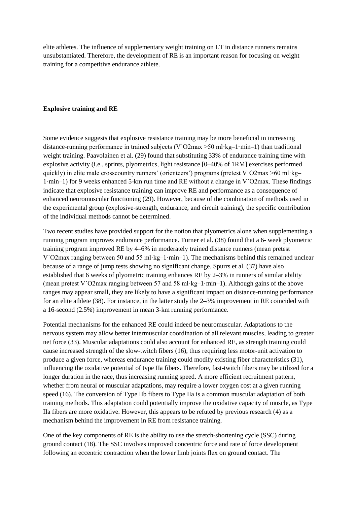elite athletes. The influence of supplementary weight training on LT in distance runners remains unsubstantiated. Therefore, the development of RE is an important reason for focusing on weight training for a competitive endurance athlete.

## **Explosive training and RE**

Some evidence suggests that explosive resistance training may be more beneficial in increasing distance-running performance in trained subjects (V˙O2max >50 ml·kg–1·min–1) than traditional weight training. Paavolainen et al. (29) found that substituting 33% of endurance training time with explosive activity (i.e., sprints, plyometrics, light resistance [0–40% of 1RM] exercises performed quickly) in elite male crosscountry runners' (orienteers') programs (pretest V˙O2max >60 ml·kg– 1·min–1) for 9 weeks enhanced 5-km run time and RE without a change in V˙O2max. These findings indicate that explosive resistance training can improve RE and performance as a consequence of enhanced neuromuscular functioning (29). However, because of the combination of methods used in the experimental group (explosive-strength, endurance, and circuit training), the specific contribution of the individual methods cannot be determined.

Two recent studies have provided support for the notion that plyometrics alone when supplementing a running program improves endurance performance. Turner et al. (38) found that a 6- week plyometric training program improved RE by 4–6% in moderately trained distance runners (mean pretest V $\overline{V}$ O2max ranging between 50 and 55 ml·kg–1·min–1). The mechanisms behind this remained unclear because of a range of jump tests showing no significant change. Spurrs et al. (37) have also established that 6 weeks of plyometric training enhances RE by 2–3% in runners of similar ability (mean pretest V˙O2max ranging between 57 and 58 ml·kg–1·min–1). Although gains of the above ranges may appear small, they are likely to have a significant impact on distance-running performance for an elite athlete (38). For instance, in the latter study the 2–3% improvement in RE coincided with a 16-second (2.5%) improvement in mean 3-km running performance.

Potential mechanisms for the enhanced RE could indeed be neuromuscular. Adaptations to the nervous system may allow better intermuscular coordination of all relevant muscles, leading to greater net force (33). Muscular adaptations could also account for enhanced RE, as strength training could cause increased strength of the slow-twitch fibers (16), thus requiring less motor-unit activation to produce a given force, whereas endurance training could modify existing fiber characteristics (31), influencing the oxidative potential of type IIa fibers. Therefore, fast-twitch fibers may be utilized for a longer duration in the race, thus increasing running speed. A more efficient recruitment pattern, whether from neural or muscular adaptations, may require a lower oxygen cost at a given running speed (16). The conversion of Type IIb fibers to Type IIa is a common muscular adaptation of both training methods. This adaptation could potentially improve the oxidative capacity of muscle, as Type IIa fibers are more oxidative. However, this appears to be refuted by previous research (4) as a mechanism behind the improvement in RE from resistance training.

One of the key components of RE is the ability to use the stretch-shortening cycle (SSC) during ground contact (18). The SSC involves improved concentric force and rate of force development following an eccentric contraction when the lower limb joints flex on ground contact. The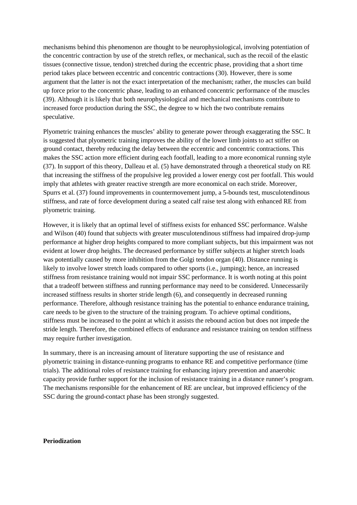mechanisms behind this phenomenon are thought to be neurophysiological, involving potentiation of the concentric contraction by use of the stretch reflex, or mechanical, such as the recoil of the elastic tissues (connective tissue, tendon) stretched during the eccentric phase, providing that a short time period takes place between eccentric and concentric contractions (30). However, there is some argument that the latter is not the exact interpretation of the mechanism; rather, the muscles can build up force prior to the concentric phase, leading to an enhanced concentric performance of the muscles (39). Although it is likely that both neurophysiological and mechanical mechanisms contribute to increased force production during the SSC, the degree to w hich the two contribute remains speculative.

Plyometric training enhances the muscles' ability to generate power through exaggerating the SSC. It is suggested that plyometric training improves the ability of the lower limb joints to act stiffer on ground contact, thereby reducing the delay between the eccentric and concentric contractions. This makes the SSC action more efficient during each footfall, leading to a more economical running style (37). In support of this theory, Dalleau et al. (5) have demonstrated through a theoretical study on RE that increasing the stiffness of the propulsive leg provided a lower energy cost per footfall. This would imply that athletes with greater reactive strength are more economical on each stride. Moreover, Spurrs et al. (37) found improvements in countermovement jump, a 5-bounds test, musculotendinous stiffness, and rate of force development during a seated calf raise test along with enhanced RE from plyometric training.

However, it is likely that an optimal level of stiffness exists for enhanced SSC performance. Walshe and Wilson (40) found that subjects with greater musculotendinous stiffness had impaired drop-jump performance at higher drop heights compared to more compliant subjects, but this impairment was not evident at lower drop heights. The decreased performance by stiffer subjects at higher stretch loads was potentially caused by more inhibition from the Golgi tendon organ (40). Distance running is likely to involve lower stretch loads compared to other sports (i.e., jumping); hence, an increased stiffness from resistance training would not impair SSC performance. It is worth noting at this point that a tradeoff between stiffness and running performance may need to be considered. Unnecessarily increased stiffness results in shorter stride length (6), and consequently in decreased running performance. Therefore, although resistance training has the potential to enhance endurance training, care needs to be given to the structure of the training program. To achieve optimal conditions, stiffness must be increased to the point at which it assists the rebound action but does not impede the stride length. Therefore, the combined effects of endurance and resistance training on tendon stiffness may require further investigation.

In summary, there is an increasing amount of literature supporting the use of resistance and plyometric training in distance-running programs to enhance RE and competitive performance (time trials). The additional roles of resistance training for enhancing injury prevention and anaerobic capacity provide further support for the inclusion of resistance training in a distance runner's program. The mechanisms responsible for the enhancement of RE are unclear, but improved efficiency of the SSC during the ground-contact phase has been strongly suggested.

#### **Periodization**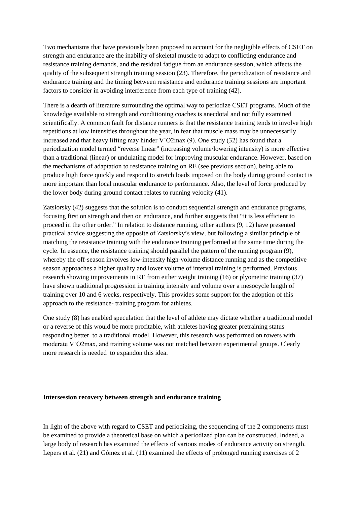Two mechanisms that have previously been proposed to account for the negligible effects of CSET on strength and endurance are the inability of skeletal muscle to adapt to conflicting endurance and resistance training demands, and the residual fatigue from an endurance session, which affects the quality of the subsequent strength training session (23). Therefore, the periodization of resistance and endurance training and the timing between resistance and endurance training sessions are important factors to consider in avoiding interference from each type of training (42).

There is a dearth of literature surrounding the optimal way to periodize CSET programs. Much of the knowledge available to strength and conditioning coaches is anecdotal and not fully examined scientifically. A common fault for distance runners is that the resistance training tends to involve high repetitions at low intensities throughout the year, in fear that muscle mass may be unnecessarily increased and that heavy lifting may hinder V˙O2max (9). One study (32) has found that a periodization model termed "reverse linear" (increasing volume/lowering intensity) is more effective than a traditional (linear) or undulating model for improving muscular endurance. However, based on the mechanisms of adaptation to resistance training on RE (see previous section), being able to produce high force quickly and respond to stretch loads imposed on the body during ground contact is more important than local muscular endurance to performance. Also, the level of force produced by the lower body during ground contact relates to running velocity (41).

Zatsiorsky (42) suggests that the solution is to conduct sequential strength and endurance programs, focusing first on strength and then on endurance, and further suggests that "it is less efficient to proceed in the other order." In relation to distance running, other authors (9, 12) have presented practical advice suggesting the opposite of Zatsiorsky's view, but following a similar principle of matching the resistance training with the endurance training performed at the same time during the cycle. In essence, the resistance training should parallel the pattern of the running program (9), whereby the off-season involves low-intensity high-volume distance running and as the competitive season approaches a higher quality and lower volume of interval training is performed. Previous research showing improvements in RE from either weight training (16) or plyometric training (37) have shown traditional progression in training intensity and volume over a mesocycle length of training over 10 and 6 weeks, respectively. This provides some support for the adoption of this approach to the resistance- training program for athletes.

One study (8) has enabled speculation that the level of athlete may dictate whether a traditional model or a reverse of this would be more profitable, with athletes having greater pretraining status responding better to a traditional model. However, this research was performed on rowers with moderate V˙O2max, and training volume was not matched between experimental groups. Clearly more research is needed to expandon this idea.

### **Intersession recovery between strength and endurance training**

In light of the above with regard to CSET and periodizing, the sequencing of the 2 components must be examined to provide a theoretical base on which a periodized plan can be constructed. Indeed, a large body of research has examined the effects of various modes of endurance activity on strength. Lepers et al. (21) and Gómez et al. (11) examined the effects of prolonged running exercises of 2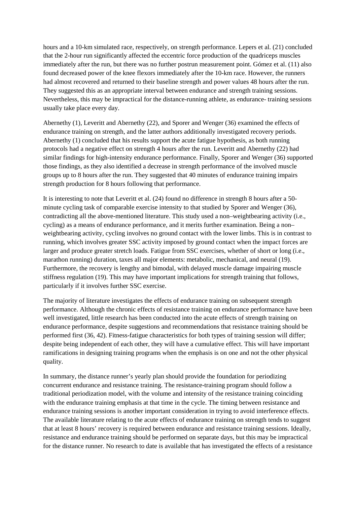hours and a 10-km simulated race, respectively, on strength performance. Lepers et al. (21) concluded that the 2-hour run significantly affected the eccentric force production of the quadriceps muscles immediately after the run, but there was no further postrun measurement point. Gómez et al. (11) also found decreased power of the knee flexors immediately after the 10-km race. However, the runners had almost recovered and returned to their baseline strength and power values 48 hours after the run. They suggested this as an appropriate interval between endurance and strength training sessions. Nevertheless, this may be impractical for the distance-running athlete, as endurance- training sessions usually take place every day.

Abernethy (1), Leveritt and Abernethy (22), and Sporer and Wenger (36) examined the effects of endurance training on strength, and the latter authors additionally investigated recovery periods. Abernethy (1) concluded that his results support the acute fatigue hypothesis, as both running protocols had a negative effect on strength 4 hours after the run. Leveritt and Abernethy (22) had similar findings for high-intensity endurance performance. Finally, Sporer and Wenger (36) supported those findings, as they also identified a decrease in strength performance of the involved muscle groups up to 8 hours after the run. They suggested that 40 minutes of endurance training impairs strength production for 8 hours following that performance.

It is interesting to note that Leveritt et al. (24) found no difference in strength 8 hours after a 50 minute cycling task of comparable exercise intensity to that studied by Sporer and Wenger (36), contradicting all the above-mentioned literature. This study used a non–weightbearing activity (i.e., cycling) as a means of endurance performance, and it merits further examination. Being a non– weightbearing activity, cycling involves no ground contact with the lower limbs. This is in contrast to running, which involves greater SSC activity imposed by ground contact when the impact forces are larger and produce greater stretch loads. Fatigue from SSC exercises, whether of short or long (i.e., marathon running) duration, taxes all major elements: metabolic, mechanical, and neural (19). Furthermore, the recovery is lengthy and bimodal, with delayed muscle damage impairing muscle stiffness regulation (19). This may have important implications for strength training that follows, particularly if it involves further SSC exercise.

The majority of literature investigates the effects of endurance training on subsequent strength performance. Although the chronic effects of resistance training on endurance performance have been well investigated, little research has been conducted into the acute effects of strength training on endurance performance, despite suggestions and recommendations that resistance training should be performed first (36, 42). Fitness-fatigue characteristics for both types of training session will differ; despite being independent of each other, they will have a cumulative effect. This will have important ramifications in designing training programs when the emphasis is on one and not the other physical quality.

In summary, the distance runner's yearly plan should provide the foundation for periodizing concurrent endurance and resistance training. The resistance-training program should follow a traditional periodization model, with the volume and intensity of the resistance training coinciding with the endurance training emphasis at that time in the cycle. The timing between resistance and endurance training sessions is another important consideration in trying to avoid interference effects. The available literature relating to the acute effects of endurance training on strength tends to suggest that at least 8 hours' recovery is required between endurance and resistance training sessions. Ideally, resistance and endurance training should be performed on separate days, but this may be impractical for the distance runner. No research to date is available that has investigated the effects of a resistance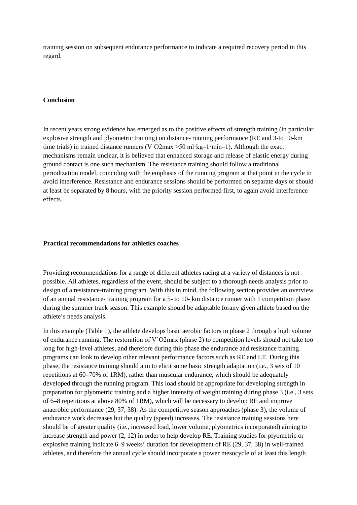training session on subsequent endurance performance to indicate a required recovery period in this regard.

### **Conclusion**

In recent years strong evidence has emerged as to the positive effects of strength training (in particular explosive strength and plyometric training) on distance- running performance (RE and 3-to 10-km time trials) in trained distance runners (V $^{\circ}$ O2max >50 ml·kg–1·min–1). Although the exact mechanisms remain unclear, it is believed that enhanced storage and release of elastic energy during ground contact is one such mechanism. The resistance training should follow a traditional periodization model, coinciding with the emphasis of the running program at that point in the cycle to avoid interference. Resistance and endurance sessions should be performed on separate days or should at least be separated by 8 hours, with the priority session performed first, to again avoid interference effects.

# **Practical recommendations for athletics coaches**

Providing recommendations for a range of different athletes racing at a variety of distances is not possible. All athletes, regardless of the event, should be subject to a thorough needs analysis prior to design of a resistance-training program. With this in mind, the following section provides an overview of an annual resistance- training program for a 5- to 10- km distance runner with 1 competition phase during the summer track season. This example should be adaptable forany given athlete based on the athlete's needs analysis.

In this example (Table 1), the athlete develops basic aerobic factors in phase 2 through a high volume of endurance running. The restoration of V˙O2max (phase 2) to competition levels should not take too long for high-level athletes, and therefore during this phase the endurance and resistance training programs can look to develop other relevant performance factors such as RE and LT. During this phase, the resistance training should aim to elicit some basic strength adaptation (i.e., 3 sets of 10 repetitions at 60–70% of 1RM), rather than muscular endurance, which should be adequately developed through the running program. This load should be appropriate for developing strength in preparation for plyometric training and a higher intensity of weight training during phase 3 (i.e., 3 sets of 6–8 repetitions at above 80% of 1RM), which will be necessary to develop RE and improve anaerobic performance (29, 37, 38). As the competitive season approaches (phase 3), the volume of endurance work decreases but the quality (speed) increases. The resistance training sessions here should be of greater quality (i.e., increased load, lower volume, plyometrics incorporated) aiming to increase strength and power (2, 12) in order to help develop RE. Training studies for plyometric or explosive training indicate 6–9 weeks' duration for development of RE (29, 37, 38) in well-trained athletes, and therefore the annual cycle should incorporate a power mesocycle of at least this length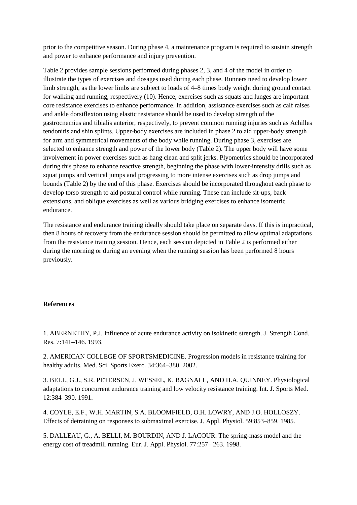prior to the competitive season. During phase 4, a maintenance program is required to sustain strength and power to enhance performance and injury prevention.

Table 2 provides sample sessions performed during phases 2, 3, and 4 of the model in order to illustrate the types of exercises and dosages used during each phase. Runners need to develop lower limb strength, as the lower limbs are subject to loads of 4–8 times body weight during ground contact for walking and running, respectively (10). Hence, exercises such as squats and lunges are important core resistance exercises to enhance performance. In addition, assistance exercises such as calf raises and ankle dorsiflexion using elastic resistance should be used to develop strength of the gastrocnemius and tibialis anterior, respectively, to prevent common running injuries such as Achilles tendonitis and shin splints. Upper-body exercises are included in phase 2 to aid upper-body strength for arm and symmetrical movements of the body while running. During phase 3, exercises are selected to enhance strength and power of the lower body (Table 2). The upper body will have some involvement in power exercises such as hang clean and split jerks. Plyometrics should be incorporated during this phase to enhance reactive strength, beginning the phase with lower-intensity drills such as squat jumps and vertical jumps and progressing to more intense exercises such as drop jumps and bounds (Table 2) by the end of this phase. Exercises should be incorporated throughout each phase to develop torso strength to aid postural control while running. These can include sit-ups, back extensions, and oblique exercises as well as various bridging exercises to enhance isometric endurance.

The resistance and endurance training ideally should take place on separate days. If this is impractical, then 8 hours of recovery from the endurance session should be permitted to allow optimal adaptations from the resistance training session. Hence, each session depicted in Table 2 is performed either during the morning or during an evening when the running session has been performed 8 hours previously.

## **References**

1. ABERNETHY, P.J. Influence of acute endurance activity on isokinetic strength. J. Strength Cond. Res. 7:141–146. 1993.

2. AMERICAN COLLEGE OF SPORTSMEDICINE. Progression models in resistance training for healthy adults. Med. Sci. Sports Exerc. 34:364–380. 2002.

3. BELL, G.J., S.R. PETERSEN, J. WESSEL, K. BAGNALL, AND H.A. QUINNEY. Physiological adaptations to concurrent endurance training and low velocity resistance training. Int. J. Sports Med. 12:384–390. 1991.

4. COYLE, E.F., W.H. MARTIN, S.A. BLOOMFIELD, O.H. LOWRY, AND J.O. HOLLOSZY. Effects of detraining on responses to submaximal exercise. J. Appl. Physiol. 59:853–859. 1985.

5. DALLEAU, G., A. BELLI, M. BOURDIN, AND J. LACOUR. The spring-mass model and the energy cost of treadmill running. Eur. J. Appl. Physiol. 77:257– 263. 1998.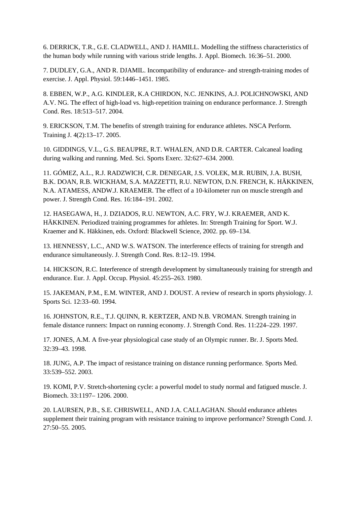6. DERRICK, T.R., G.E. CLADWELL, AND J. HAMILL. Modelling the stiffness characteristics of the human body while running with various stride lengths. J. Appl. Biomech. 16:36–51. 2000.

7. DUDLEY, G.A., AND R. DJAMIL. Incompatibility of endurance- and strength-training modes of exercise. J. Appl. Physiol. 59:1446–1451. 1985.

8. EBBEN, W.P., A.G. KINDLER, K.A CHIRDON, N.C. JENKINS, A.J. POLICHNOWSKI, AND A.V. NG. The effect of high-load vs. high-repetition training on endurance performance. J. Strength Cond. Res. 18:513–517. 2004.

9. ERICKSON, T.M. The benefits of strength training for endurance athletes. NSCA Perform. Training J. 4(2):13–17. 2005.

10. GIDDINGS, V.L., G.S. BEAUPRE, R.T. WHALEN, AND D.R. CARTER. Calcaneal loading during walking and running. Med. Sci. Sports Exerc. 32:627–634. 2000.

11. GÓMEZ, A.L., R.J. RADZWICH, C.R. DENEGAR, J.S. VOLEK, M.R. RUBIN, J.A. BUSH, B.K. DOAN, R.B. WICKHAM, S.A. MAZZETTI, R.U. NEWTON, D.N. FRENCH, K. HÄKKINEN, N.A. ATAMESS, ANDW.J. KRAEMER. The effect of a 10-kilometer run on muscle strength and power. J. Strength Cond. Res. 16:184–191. 2002.

12. HASEGAWA, H., J. DZIADOS, R.U. NEWTON, A.C. FRY, W.J. KRAEMER, AND K. HÄKKINEN. Periodized training programmes for athletes. In: Strength Training for Sport. W.J. Kraemer and K. Häkkinen, eds. Oxford: Blackwell Science, 2002. pp. 69–134.

13. HENNESSY, L.C., AND W.S. WATSON. The interference effects of training for strength and endurance simultaneously. J. Strength Cond. Res. 8:12–19. 1994.

14. HICKSON, R.C. Interference of strength development by simultaneously training for strength and endurance. Eur. J. Appl. Occup. Physiol. 45:255–263. 1980.

15. JAKEMAN, P.M., E.M. WINTER, AND J. DOUST. A review of research in sports physiology. J. Sports Sci. 12:33–60. 1994.

16. JOHNSTON, R.E., T.J. QUINN, R. KERTZER, AND N.B. VROMAN. Strength training in female distance runners: Impact on running economy. J. Strength Cond. Res. 11:224–229. 1997.

17. JONES, A.M. A five-year physiological case study of an Olympic runner. Br. J. Sports Med. 32:39–43. 1998.

18. JUNG, A.P. The impact of resistance training on distance running performance. Sports Med. 33:539–552. 2003.

19. KOMI, P.V. Stretch-shortening cycle: a powerful model to study normal and fatigued muscle. J. Biomech. 33:1197– 1206. 2000.

20. LAURSEN, P.B., S.E. CHRISWELL, AND J.A. CALLAGHAN. Should endurance athletes supplement their training program with resistance training to improve performance? Strength Cond. J. 27:50–55. 2005.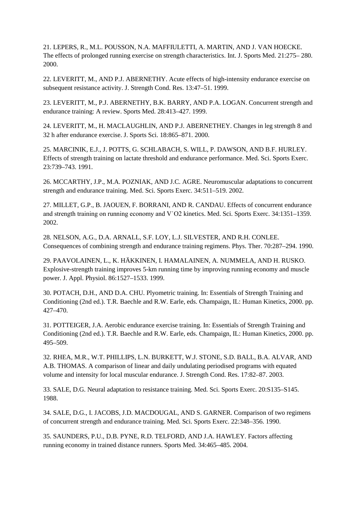21. LEPERS, R., M.L. POUSSON, N.A. MAFFIULETTI, A. MARTIN, AND J. VAN HOECKE. The effects of prolonged running exercise on strength characteristics. Int. J. Sports Med. 21:275– 280. 2000.

22. LEVERITT, M., AND P.J. ABERNETHY. Acute effects of high-intensity endurance exercise on subsequent resistance activity. J. Strength Cond. Res. 13:47–51. 1999.

23. LEVERITT, M., P.J. ABERNETHY, B.K. BARRY, AND P.A. LOGAN. Concurrent strength and endurance training: A review. Sports Med. 28:413–427. 1999.

24. LEVERITT, M., H. MACLAUGHLIN, AND P.J. ABERNETHEY. Changes in leg strength 8 and 32 h after endurance exercise. J. Sports Sci. 18:865–871. 2000.

25. MARCINIK, E.J., J. POTTS, G. SCHLABACH, S. WILL, P. DAWSON, AND B.F. HURLEY. Effects of strength training on lactate threshold and endurance performance. Med. Sci. Sports Exerc. 23:739–743. 1991.

26. MCCARTHY, J.P., M.A. POZNIAK, AND J.C. AGRE. Neuromuscular adaptations to concurrent strength and endurance training. Med. Sci. Sports Exerc. 34:511–519. 2002.

27. MILLET, G.P., B. JAOUEN, F. BORRANI, AND R. CANDAU. Effects of concurrent endurance and strength training on running economy and V˙O2 kinetics. Med. Sci. Sports Exerc. 34:1351–1359. 2002.

28. NELSON, A.G., D.A. ARNALL, S.F. LOY, L.J. SILVESTER, AND R.H. CONLEE. Consequences of combining strength and endurance training regimens. Phys. Ther. 70:287–294. 1990.

29. PAAVOLAINEN, L., K. HÄKKINEN, I. HAMALAINEN, A. NUMMELA, AND H. RUSKO. Explosive-strength training improves 5-km running time by improving running economy and muscle power. J. Appl. Physiol. 86:1527–1533. 1999.

30. POTACH, D.H., AND D.A. CHU. Plyometric training. In: Essentials of Strength Training and Conditioning (2nd ed.). T.R. Baechle and R.W. Earle, eds. Champaign, IL: Human Kinetics, 2000. pp. 427–470.

31. POTTEIGER, J.A. Aerobic endurance exercise training. In: Essentials of Strength Training and Conditioning (2nd ed.). T.R. Baechle and R.W. Earle, eds. Champaign, IL: Human Kinetics, 2000. pp. 495–509.

32. RHEA, M.R., W.T. PHILLIPS, L.N. BURKETT, W.J. STONE, S.D. BALL, B.A. ALVAR, AND A.B. THOMAS. A comparison of linear and daily undulating periodised programs with equated volume and intensity for local muscular endurance. J. Strength Cond. Res. 17:82–87. 2003.

33. SALE, D.G. Neural adaptation to resistance training. Med. Sci. Sports Exerc. 20:S135–S145. 1988.

34. SALE, D.G., I. JACOBS, J.D. MACDOUGAL, AND S. GARNER. Comparison of two regimens of concurrent strength and endurance training. Med. Sci. Sports Exerc. 22:348–356. 1990.

35. SAUNDERS, P.U., D.B. PYNE, R.D. TELFORD, AND J.A. HAWLEY. Factors affecting running economy in trained distance runners. Sports Med. 34:465–485. 2004.